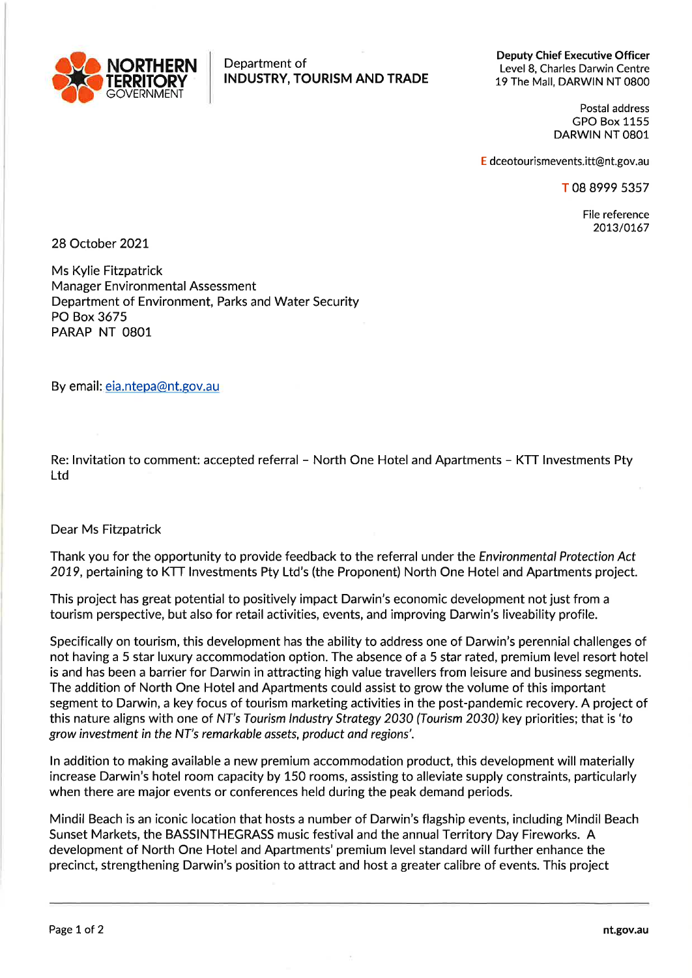

Deputy Chief Executive Officer Level 8, Charles Darwin Centre 19 The Mall, DARWIN NT 0800

> Postal address GPO Box 1155 DARWIN NT O8O1

E dceotourismevents.itt@nt.gov.au

T 08 8999 5357

File reference 2073/0767

28 October 2027

Ms Kylie Fitzpatrick Manager Environmental Assessment Department of Environment, Parks and Water Security PO Box 3675 PARAP NT O8O1

By email: eia.ntepa@nt.gov.au

Re: lnvitation to comment: accepted referral - North One Hotel and Apartments - KTT lnvestments Pty Ltd

## Dear Ms Fitzpatrick

Thank you for the opportunity to provide feedback to the referral under the Environmental Protection Act 2019, pertaining to KTT Investments Pty Ltd's (the Proponent) North One Hotel and Apartments project.

This project has great potential to positively impact Darwin's economic development not just from <sup>a</sup> tourism perspective, but also for retail activities, events, and improving Darwin's liveability profile.

Specifically on tourism, this development has the ability to address one of Darwin's perennial challenges of not having a 5 star luxury accommodation option. The absence of a 5 star rated, premium level resort hotel is and has been a barrier for Darwin in attracting high value travellers from leisure and business segments. The addition of North One Hotel and Apartments could assist to grow the volume of this important segment to Darwin, a key focus of tourism marketing activities in the post-pandemic recovery. A project of this nature aligns with one of NT's Tourism Industry Strategy 2030 (Tourism 2030) key priorities; that is 'to grow investment in the NT's remarkable assets, product and regions'.

ln addition to making available a new premium accommodation product, this development will materially increase Darwin's hotel room capacity by 150 rooms, assisting to alleviate supply constraints, particularly when there are major events or conferences held during the peak demand periods.

Mindil Beach is an iconic location that hosts a number of Darwin's flagship events, including Mindil Beach Sunset Markets, the BASSINTHEGRASS music festival and the annual Territory Day Fireworks. A development of North One Hotel and Apartments' premium level standard will further enhance the precinct, strengthening Darwin's position to attract and host a greater calibre of events. This project